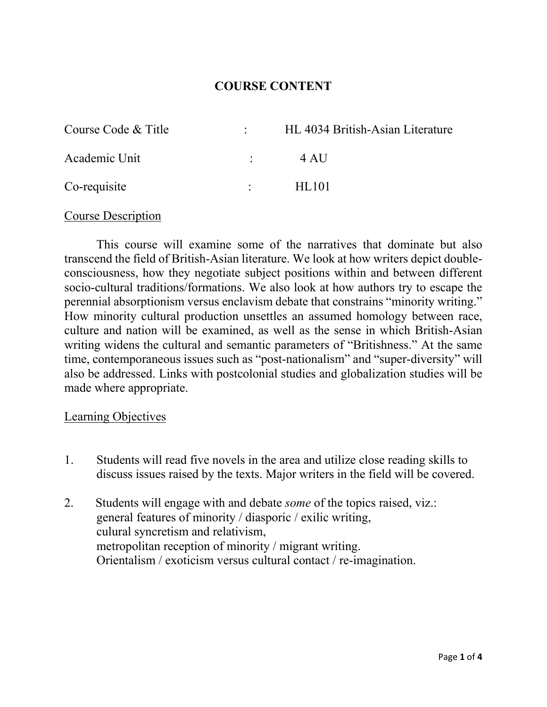## **COURSE CONTENT**

| Course Code & Title |                 | HL 4034 British-Asian Literature |
|---------------------|-----------------|----------------------------------|
| Academic Unit       |                 | 4 AU                             |
| Co-requisite        | <b>Contract</b> | HL101                            |

### Course Description

This course will examine some of the narratives that dominate but also transcend the field of British-Asian literature. We look at how writers depict doubleconsciousness, how they negotiate subject positions within and between different socio-cultural traditions/formations. We also look at how authors try to escape the perennial absorptionism versus enclavism debate that constrains "minority writing." How minority cultural production unsettles an assumed homology between race, culture and nation will be examined, as well as the sense in which British-Asian writing widens the cultural and semantic parameters of "Britishness." At the same time, contemporaneous issues such as "post-nationalism" and "super-diversity" will also be addressed. Links with postcolonial studies and globalization studies will be made where appropriate.

### Learning Objectives

- 1. Students will read five novels in the area and utilize close reading skills to discuss issues raised by the texts. Major writers in the field will be covered.
- 2. Students will engage with and debate *some* of the topics raised, viz.: general features of minority / diasporic / exilic writing, culural syncretism and relativism, metropolitan reception of minority / migrant writing. Orientalism / exoticism versus cultural contact / re-imagination.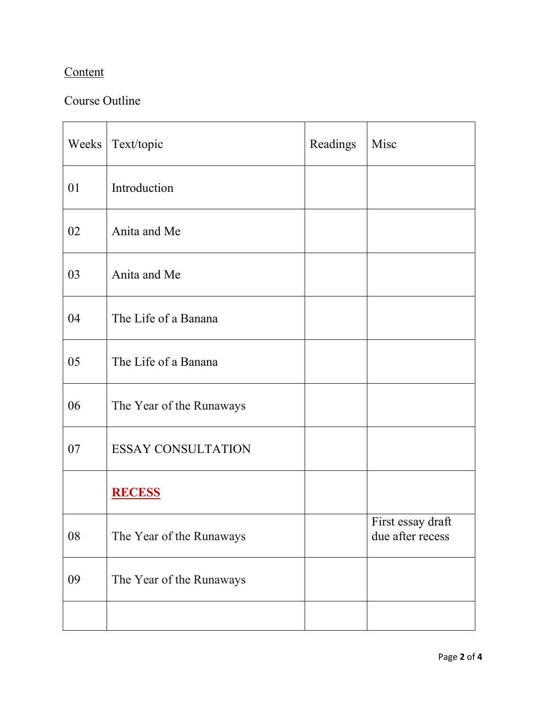# **Content**

# Course Outline

| Weeks | Text/topic                | Readings | Misc                                  |
|-------|---------------------------|----------|---------------------------------------|
| 01    | Introduction              |          |                                       |
| 02    | Anita and Me              |          |                                       |
| 03    | Anita and Me              |          |                                       |
| 04    | The Life of a Banana      |          |                                       |
| 05    | The Life of a Banana      |          |                                       |
| 06    | The Year of the Runaways  |          |                                       |
| 07    | <b>ESSAY CONSULTATION</b> |          |                                       |
|       | <b>RECESS</b>             |          |                                       |
| 08    | The Year of the Runaways  |          | First essay draft<br>due after recess |
| 09    | The Year of the Runaways  |          |                                       |
|       |                           |          |                                       |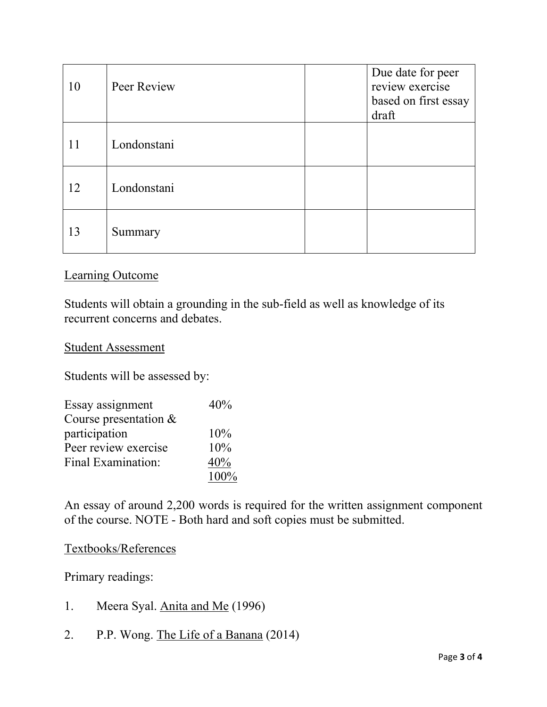| 10 | Peer Review | Due date for peer<br>review exercise<br>based on first essay<br>draft |
|----|-------------|-----------------------------------------------------------------------|
| 11 | Londonstani |                                                                       |
| 12 | Londonstani |                                                                       |
| 13 | Summary     |                                                                       |

## Learning Outcome

Students will obtain a grounding in the sub-field as well as knowledge of its recurrent concerns and debates.

### Student Assessment

Students will be assessed by:

| Essay assignment        | 40%     |
|-------------------------|---------|
| Course presentation $&$ |         |
| participation           | 10%     |
| Peer review exercise    | 10%     |
| Final Examination:      | 40%     |
|                         | $100\%$ |

An essay of around 2,200 words is required for the written assignment component of the course. NOTE - Both hard and soft copies must be submitted.

### Textbooks/References

Primary readings:

- 1. Meera Syal. Anita and Me (1996)
- 2. P.P. Wong. The Life of a Banana (2014)